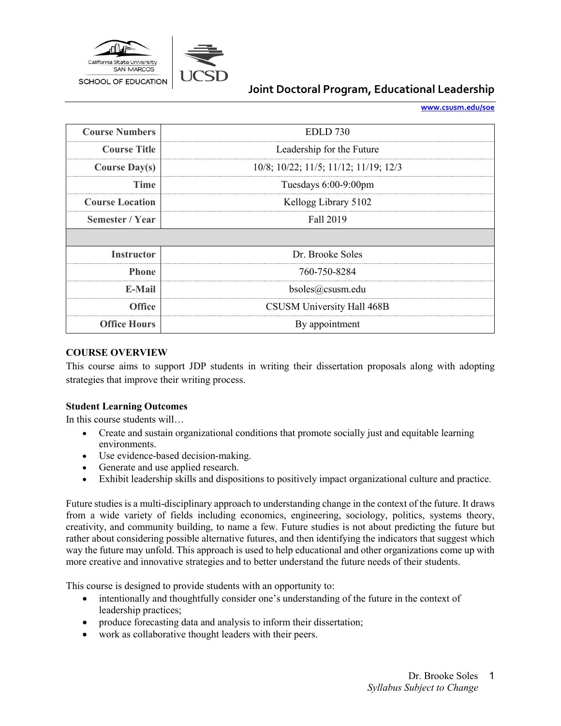

**[www.csusm.edu/soe](http://www.csusm.edu/soe)**

| <b>Course Numbers</b>  | <b>EDLD</b> 730                       |  |
|------------------------|---------------------------------------|--|
| <b>Course Title</b>    | Leadership for the Future             |  |
| <b>Course Day(s)</b>   | 10/8; 10/22; 11/5; 11/12; 11/19; 12/3 |  |
| Time                   | Tuesdays 6:00-9:00pm                  |  |
| <b>Course Location</b> | Kellogg Library 5102                  |  |
| Semester / Year        | Fall 2019                             |  |
|                        |                                       |  |
| <b>Instructor</b>      | Dr. Brooke Soles                      |  |
| <b>Phone</b>           | 760-750-8284                          |  |
|                        |                                       |  |
| E-Mail                 | $b$ soles@csusm.edu                   |  |
| Office                 | CSUSM University Hall 468B            |  |

#### **COURSE OVERVIEW**

This course aims to support JDP students in writing their dissertation proposals along with adopting strategies that improve their writing process.

### **Student Learning Outcomes**

In this course students will…

- Create and sustain organizational conditions that promote socially just and equitable learning environments.
- Use evidence-based decision-making.
- Generate and use applied research.
- Exhibit leadership skills and dispositions to positively impact organizational culture and practice.

Future studies is a multi-disciplinary approach to understanding change in the context of the future. It draws from a wide variety of fields including economics, engineering, sociology, politics, systems theory, creativity, and community building, to name a few. Future studies is not about predicting the future but rather about considering possible alternative futures, and then identifying the indicators that suggest which way the future may unfold. This approach is used to help educational and other organizations come up with more creative and innovative strategies and to better understand the future needs of their students.

This course is designed to provide students with an opportunity to:

- intentionally and thoughtfully consider one's understanding of the future in the context of leadership practices;
- produce forecasting data and analysis to inform their dissertation;
- work as collaborative thought leaders with their peers.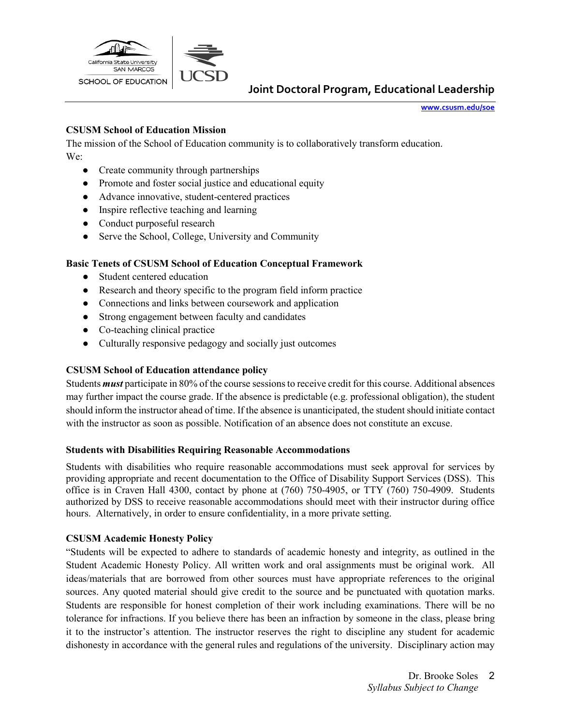

**[www.csusm.edu/soe](http://www.csusm.edu/soe)**

### **CSUSM School of Education Mission**

The mission of the School of Education community is to collaboratively transform education. We:

- Create community through partnerships
- Promote and foster social justice and educational equity
- Advance innovative, student-centered practices
- Inspire reflective teaching and learning
- Conduct purposeful research
- Serve the School, College, University and Community

### **Basic Tenets of CSUSM School of Education Conceptual Framework**

- Student centered education
- Research and theory specific to the program field inform practice
- Connections and links between coursework and application
- Strong engagement between faculty and candidates
- Co-teaching clinical practice
- Culturally responsive pedagogy and socially just outcomes

## **CSUSM School of Education attendance policy**

Students *must* participate in 80% of the course sessions to receive credit for this course. Additional absences may further impact the course grade. If the absence is predictable (e.g. professional obligation), the student should inform the instructor ahead of time. If the absence is unanticipated, the student should initiate contact with the instructor as soon as possible. Notification of an absence does not constitute an excuse.

### **Students with Disabilities Requiring Reasonable Accommodations**

Students with disabilities who require reasonable accommodations must seek approval for services by providing appropriate and recent documentation to the Office of Disability Support Services (DSS). This office is in Craven Hall 4300, contact by phone at (760) 750-4905, or TTY (760) 750-4909. Students authorized by DSS to receive reasonable accommodations should meet with their instructor during office hours. Alternatively, in order to ensure confidentiality, in a more private setting.

### **CSUSM Academic Honesty Policy**

"Students will be expected to adhere to standards of academic honesty and integrity, as outlined in the Student Academic Honesty Policy. All written work and oral assignments must be original work. All ideas/materials that are borrowed from other sources must have appropriate references to the original sources. Any quoted material should give credit to the source and be punctuated with quotation marks. Students are responsible for honest completion of their work including examinations. There will be no tolerance for infractions. If you believe there has been an infraction by someone in the class, please bring it to the instructor's attention. The instructor reserves the right to discipline any student for academic dishonesty in accordance with the general rules and regulations of the university. Disciplinary action may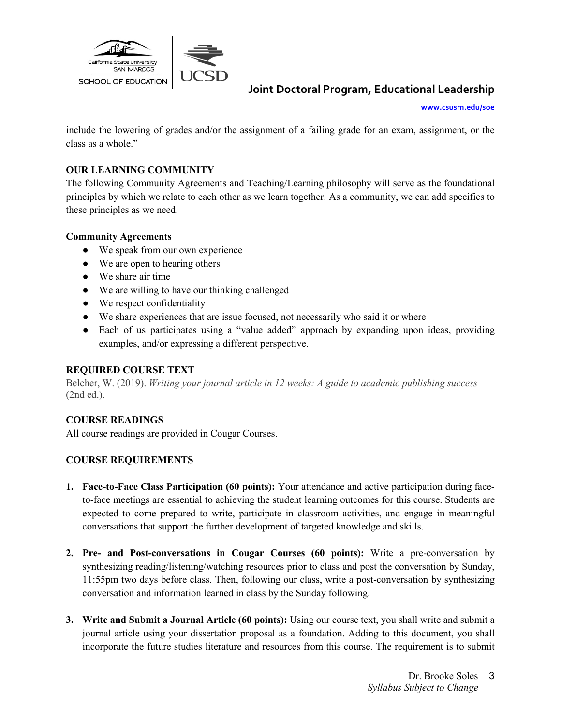

**[www.csusm.edu/soe](http://www.csusm.edu/soe)**

include the lowering of grades and/or the assignment of a failing grade for an exam, assignment, or the class as a whole."

### **OUR LEARNING COMMUNITY**

The following Community Agreements and Teaching/Learning philosophy will serve as the foundational principles by which we relate to each other as we learn together. As a community, we can add specifics to these principles as we need.

### **Community Agreements**

- We speak from our own experience
- We are open to hearing others
- We share air time
- We are willing to have our thinking challenged
- We respect confidentiality
- We share experiences that are issue focused, not necessarily who said it or where
- Each of us participates using a "value added" approach by expanding upon ideas, providing examples, and/or expressing a different perspective.

### **REQUIRED COURSE TEXT**

Belcher, W. (2019). *Writing your journal article in 12 weeks: A guide to academic publishing success* (2nd ed.).

### **COURSE READINGS**

All course readings are provided in Cougar Courses.

### **COURSE REQUIREMENTS**

- **1. Face-to-Face Class Participation (60 points):** Your attendance and active participation during faceto-face meetings are essential to achieving the student learning outcomes for this course. Students are expected to come prepared to write, participate in classroom activities, and engage in meaningful conversations that support the further development of targeted knowledge and skills.
- **2. Pre- and Post-conversations in Cougar Courses (60 points):** Write a pre-conversation by synthesizing reading/listening/watching resources prior to class and post the conversation by Sunday, 11:55pm two days before class. Then, following our class, write a post-conversation by synthesizing conversation and information learned in class by the Sunday following.
- **3. Write and Submit a Journal Article (60 points):** Using our course text, you shall write and submit a journal article using your dissertation proposal as a foundation. Adding to this document, you shall incorporate the future studies literature and resources from this course. The requirement is to submit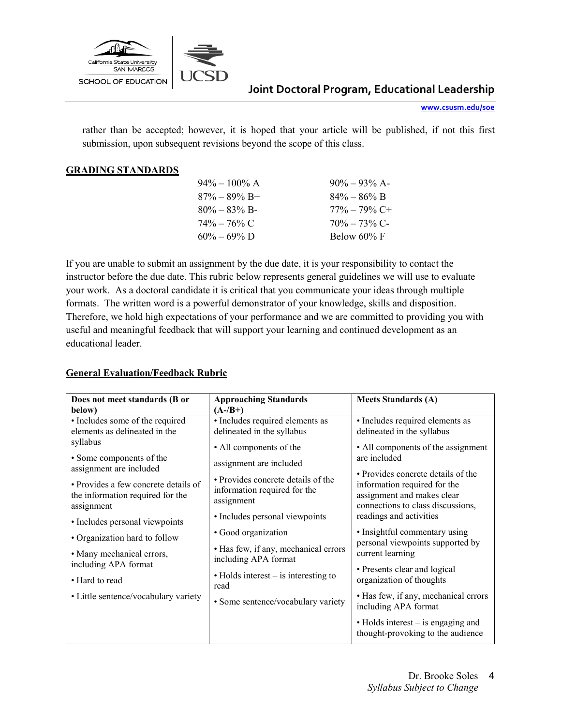

**[www.csusm.edu/soe](http://www.csusm.edu/soe)**

rather than be accepted; however, it is hoped that your article will be published, if not this first submission, upon subsequent revisions beyond the scope of this class.

#### **GRADING STANDARDS**

| $90\% - 93\%$ A- |
|------------------|
| $84\% - 86\%$ B  |
| $77\% - 79\%$ C+ |
| $70\% - 73\%$ C- |
| Below $60\%$ F   |
|                  |

If you are unable to submit an assignment by the due date, it is your responsibility to contact the instructor before the due date. This rubric below represents general guidelines we will use to evaluate your work. As a doctoral candidate it is critical that you communicate your ideas through multiple formats. The written word is a powerful demonstrator of your knowledge, skills and disposition. Therefore, we hold high expectations of your performance and we are committed to providing you with useful and meaningful feedback that will support your learning and continued development as an educational leader.

### **General Evaluation/Feedback Rubric**

| Does not meet standards (B or                                                          | <b>Approaching Standards</b>                                                     | <b>Meets Standards (A)</b>                                                                                                            |
|----------------------------------------------------------------------------------------|----------------------------------------------------------------------------------|---------------------------------------------------------------------------------------------------------------------------------------|
| below)                                                                                 | $(A-/B+)$                                                                        |                                                                                                                                       |
| • Includes some of the required                                                        | · Includes required elements as                                                  | · Includes required elements as                                                                                                       |
| elements as delineated in the                                                          | delineated in the syllabus                                                       | delineated in the syllabus                                                                                                            |
| syllabus                                                                               | • All components of the                                                          | • All components of the assignment                                                                                                    |
| • Some components of the<br>assignment are included                                    | assignment are included                                                          | are included                                                                                                                          |
| • Provides a few concrete details of<br>the information required for the<br>assignment | • Provides concrete details of the<br>information required for the<br>assignment | • Provides concrete details of the<br>information required for the<br>assignment and makes clear<br>connections to class discussions, |
| • Includes personal viewpoints                                                         | • Includes personal viewpoints                                                   | readings and activities                                                                                                               |
| • Organization hard to follow                                                          | • Good organization                                                              | • Insightful commentary using<br>personal viewpoints supported by                                                                     |
| • Many mechanical errors,                                                              | • Has few, if any, mechanical errors<br>including APA format                     | current learning                                                                                                                      |
| including APA format                                                                   |                                                                                  | • Presents clear and logical                                                                                                          |
| • Hard to read                                                                         | $\bullet$ Holds interest – is interesting to<br>read                             | organization of thoughts                                                                                                              |
| • Little sentence/vocabulary variety                                                   | • Some sentence/vocabulary variety                                               | • Has few, if any, mechanical errors<br>including APA format                                                                          |
|                                                                                        |                                                                                  | $\bullet$ Holds interest – is engaging and<br>thought-provoking to the audience                                                       |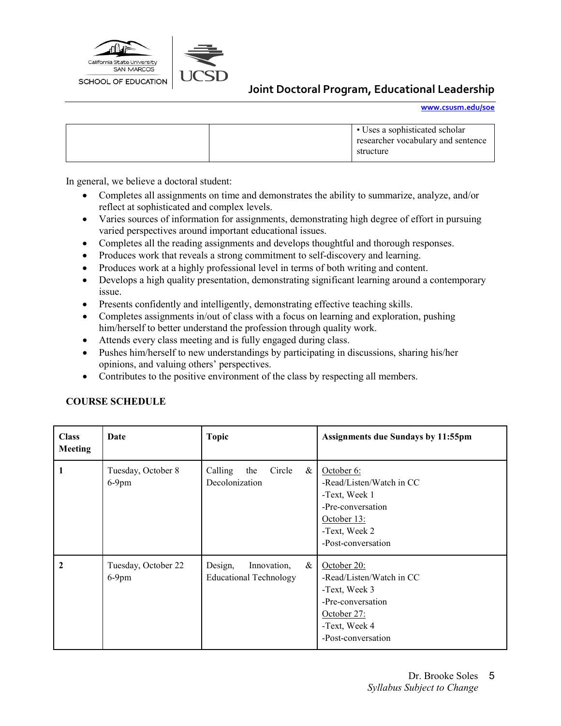

**[www.csusm.edu/soe](http://www.csusm.edu/soe)**

|  | • Uses a sophisticated scholar<br>researcher vocabulary and sentence<br>structure |
|--|-----------------------------------------------------------------------------------|
|  |                                                                                   |

In general, we believe a doctoral student:

- Completes all assignments on time and demonstrates the ability to summarize, analyze, and/or reflect at sophisticated and complex levels.
- Varies sources of information for assignments, demonstrating high degree of effort in pursuing varied perspectives around important educational issues.
- Completes all the reading assignments and develops thoughtful and thorough responses.
- Produces work that reveals a strong commitment to self-discovery and learning.
- Produces work at a highly professional level in terms of both writing and content.
- Develops a high quality presentation, demonstrating significant learning around a contemporary issue.
- Presents confidently and intelligently, demonstrating effective teaching skills.
- Completes assignments in/out of class with a focus on learning and exploration, pushing him/herself to better understand the profession through quality work.
- Attends every class meeting and is fully engaged during class.
- Pushes him/herself to new understandings by participating in discussions, sharing his/her opinions, and valuing others' perspectives.
- Contributes to the positive environment of the class by respecting all members.

#### **COURSE SCHEDULE**

| <b>Class</b><br><b>Meeting</b> | Date                            | <b>Topic</b>                                                    | <b>Assignments due Sundays by 11:55pm</b>                                                                                           |
|--------------------------------|---------------------------------|-----------------------------------------------------------------|-------------------------------------------------------------------------------------------------------------------------------------|
|                                | Tuesday, October 8<br>$6-9$ pm  | Circle<br>Calling<br>the<br>&<br>Decolonization                 | October 6:<br>-Read/Listen/Watch in CC<br>-Text, Week 1<br>-Pre-conversation<br>October 13:<br>-Text, Week 2<br>-Post-conversation  |
| $\mathbf{2}$                   | Tuesday, October 22<br>$6-9$ pm | $\&$<br>Design,<br>Innovation,<br><b>Educational Technology</b> | October 20:<br>-Read/Listen/Watch in CC<br>-Text, Week 3<br>-Pre-conversation<br>October 27:<br>-Text, Week 4<br>-Post-conversation |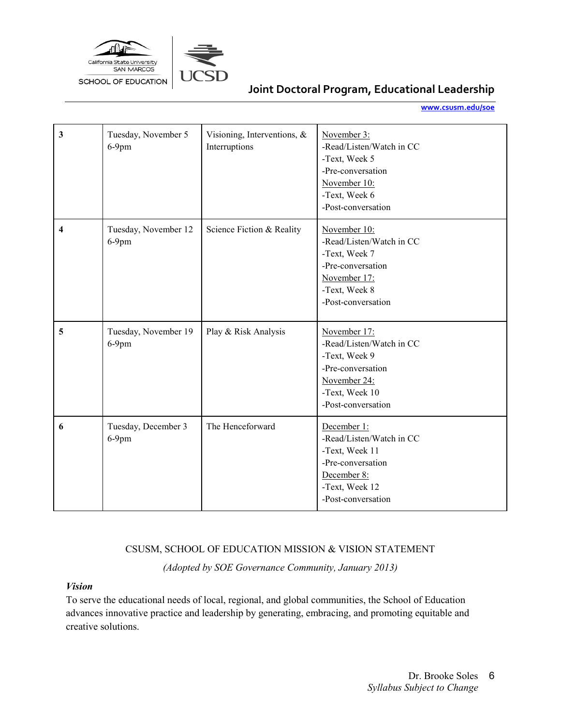

**[www.csusm.edu/soe](http://www.csusm.edu/soe)**

| 3 | Tuesday, November 5<br>$6-9$ pm  | Visioning, Interventions, &<br>Interruptions | November 3:<br>-Read/Listen/Watch in CC<br>-Text, Week 5<br>-Pre-conversation<br>November 10:<br>-Text, Week 6<br>-Post-conversation   |
|---|----------------------------------|----------------------------------------------|----------------------------------------------------------------------------------------------------------------------------------------|
| 4 | Tuesday, November 12<br>$6-9$ pm | Science Fiction & Reality                    | November 10:<br>-Read/Listen/Watch in CC<br>-Text, Week 7<br>-Pre-conversation<br>November 17:<br>-Text, Week 8<br>-Post-conversation  |
| 5 | Tuesday, November 19<br>$6-9$ pm | Play & Risk Analysis                         | November 17:<br>-Read/Listen/Watch in CC<br>-Text, Week 9<br>-Pre-conversation<br>November 24:<br>-Text, Week 10<br>-Post-conversation |
| 6 | Tuesday, December 3<br>$6-9$ pm  | The Henceforward                             | December 1:<br>-Read/Listen/Watch in CC<br>-Text, Week 11<br>-Pre-conversation<br>December 8:<br>-Text, Week 12<br>-Post-conversation  |

### CSUSM, SCHOOL OF EDUCATION MISSION & VISION STATEMENT

*(Adopted by SOE Governance Community, January 2013)*

#### *Vision*

To serve the educational needs of local, regional, and global communities, the School of Education advances innovative practice and leadership by generating, embracing, and promoting equitable and creative solutions.